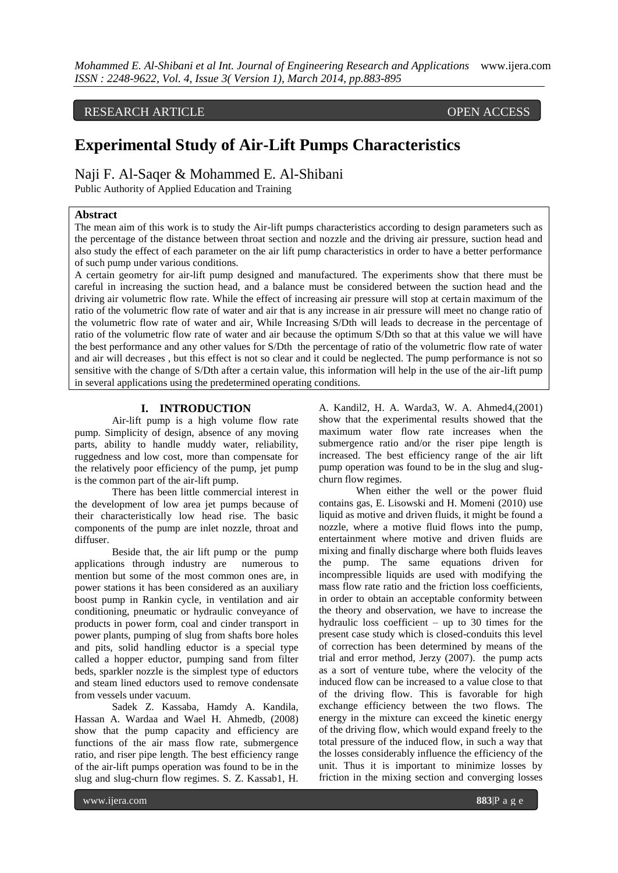RESEARCH ARTICLE OPEN ACCESS

# **Experimental Study of Air-Lift Pumps Characteristics**

Naji F. Al-Saqer & Mohammed E. Al-Shibani Public Authority of Applied Education and Training

#### **Abstract**

The mean aim of this work is to study the Air-lift pumps characteristics according to design parameters such as the percentage of the distance between throat section and nozzle and the driving air pressure, suction head and also study the effect of each parameter on the air lift pump characteristics in order to have a better performance of such pump under various conditions.

A certain geometry for air-lift pump designed and manufactured. The experiments show that there must be careful in increasing the suction head, and a balance must be considered between the suction head and the driving air volumetric flow rate. While the effect of increasing air pressure will stop at certain maximum of the ratio of the volumetric flow rate of water and air that is any increase in air pressure will meet no change ratio of the volumetric flow rate of water and air, While Increasing S/Dth will leads to decrease in the percentage of ratio of the volumetric flow rate of water and air because the optimum S/Dth so that at this value we will have the best performance and any other values for S/Dth the percentage of ratio of the volumetric flow rate of water and air will decreases , but this effect is not so clear and it could be neglected. The pump performance is not so sensitive with the change of S/Dth after a certain value, this information will help in the use of the air-lift pump in several applications using the predetermined operating conditions.

# **I. INTRODUCTION**

Air-lift pump is a high volume flow rate pump. Simplicity of design, absence of any moving parts, ability to handle muddy water, reliability, ruggedness and low cost, more than compensate for the relatively poor efficiency of the pump, jet pump is the common part of the air-lift pump.

There has been little commercial interest in the development of low area jet pumps because of their characteristically low head rise. The basic components of the pump are inlet nozzle, throat and diffuser.

Beside that, the air lift pump or the pump applications through industry are numerous to mention but some of the most common ones are, in power stations it has been considered as an auxiliary boost pump in Rankin cycle, in ventilation and air conditioning, pneumatic or hydraulic conveyance of products in power form, coal and cinder transport in power plants, pumping of slug from shafts bore holes and pits, solid handling eductor is a special type called a hopper eductor, pumping sand from filter beds, sparkler nozzle is the simplest type of eductors and steam lined eductors used to remove condensate from vessels under vacuum.

Sadek Z. Kassaba, Hamdy A. Kandila, Hassan A. Wardaa and Wael H. Ahmedb, (2008) show that the pump capacity and efficiency are functions of the air mass flow rate, submergence ratio, and riser pipe length. The best efficiency range of the air-lift pumps operation was found to be in the slug and slug-churn flow regimes. S. Z. Kassab1, H. A. Kandil2, H. A. Warda3, W. A. Ahmed4,(2001) show that the experimental results showed that the maximum water flow rate increases when the submergence ratio and/or the riser pipe length is increased. The best efficiency range of the air lift pump operation was found to be in the slug and slugchurn flow regimes.

When either the well or the power fluid contains gas, E. Lisowski and H. Momeni (2010) use liquid as motive and driven fluids, it might be found a nozzle, where a motive fluid flows into the pump, entertainment where motive and driven fluids are mixing and finally discharge where both fluids leaves the pump. The same equations driven for incompressible liquids are used with modifying the mass flow rate ratio and the friction loss coefficients, in order to obtain an acceptable conformity between the theory and observation, we have to increase the hydraulic loss coefficient – up to 30 times for the present case study which is closed-conduits this level of correction has been determined by means of the trial and error method, Jerzy (2007). the pump acts as a sort of venture tube, where the velocity of the induced flow can be increased to a value close to that of the driving flow. This is favorable for high exchange efficiency between the two flows. The energy in the mixture can exceed the kinetic energy of the driving flow, which would expand freely to the total pressure of the induced flow, in such a way that the losses considerably influence the efficiency of the unit. Thus it is important to minimize losses by friction in the mixing section and converging losses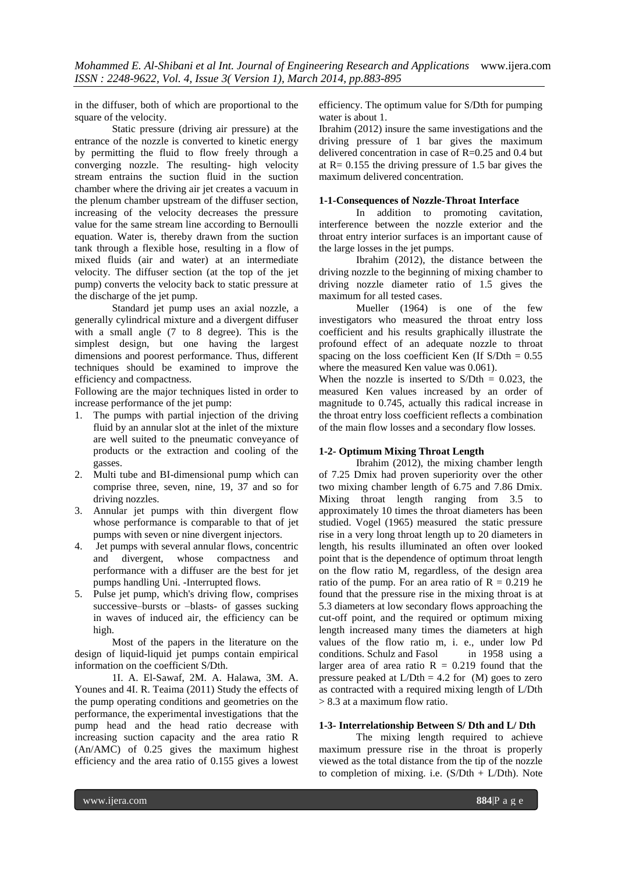in the diffuser, both of which are proportional to the square of the velocity.

Static pressure (driving air pressure) at the entrance of the nozzle is converted to kinetic energy by permitting the fluid to flow freely through a converging nozzle. The resulting- high velocity stream entrains the suction fluid in the suction chamber where the driving air jet creates a vacuum in the plenum chamber upstream of the diffuser section, increasing of the velocity decreases the pressure value for the same stream line according to Bernoulli equation. Water is, thereby drawn from the suction tank through a flexible hose, resulting in a flow of mixed fluids (air and water) at an intermediate velocity. The diffuser section (at the top of the jet pump) converts the velocity back to static pressure at the discharge of the jet pump.

Standard jet pump uses an axial nozzle, a generally cylindrical mixture and a divergent diffuser with a small angle (7 to 8 degree). This is the simplest design, but one having the largest dimensions and poorest performance. Thus, different techniques should be examined to improve the efficiency and compactness.

Following are the major techniques listed in order to increase performance of the jet pump:

- 1. The pumps with partial injection of the driving fluid by an annular slot at the inlet of the mixture are well suited to the pneumatic conveyance of products or the extraction and cooling of the gasses.
- 2. Multi tube and BI-dimensional pump which can comprise three, seven, nine, 19, 37 and so for driving nozzles.
- 3. Annular jet pumps with thin divergent flow whose performance is comparable to that of jet pumps with seven or nine divergent injectors.
- 4. Jet pumps with several annular flows, concentric and divergent, whose compactness and performance with a diffuser are the best for jet pumps handling Uni. -Interrupted flows.
- 5. Pulse jet pump, which's driving flow, comprises successive–bursts or –blasts- of gasses sucking in waves of induced air, the efficiency can be high.

Most of the papers in the literature on the design of liquid-liquid jet pumps contain empirical information on the coefficient S/Dth.

1I. A. El-Sawaf, 2M. A. Halawa, 3M. A. Younes and 4I. R. Teaima (2011) Study the effects of the pump operating conditions and geometries on the performance, the experimental investigations that the pump head and the head ratio decrease with increasing suction capacity and the area ratio R (An/AMC) of 0.25 gives the maximum highest efficiency and the area ratio of 0.155 gives a lowest efficiency. The optimum value for S/Dth for pumping water is about 1.

Ibrahim (2012) insure the same investigations and the driving pressure of 1 bar gives the maximum delivered concentration in case of R=0.25 and 0.4 but at  $R = 0.155$  the driving pressure of 1.5 bar gives the maximum delivered concentration.

# **1-1-Consequences of Nozzle-Throat Interface**

In addition to promoting cavitation, interference between the nozzle exterior and the throat entry interior surfaces is an important cause of the large losses in the jet pumps.

Ibrahim (2012), the distance between the driving nozzle to the beginning of mixing chamber to driving nozzle diameter ratio of 1.5 gives the maximum for all tested cases.

Mueller (1964) is one of the few investigators who measured the throat entry loss coefficient and his results graphically illustrate the profound effect of an adequate nozzle to throat spacing on the loss coefficient Ken (If  $S/Dth = 0.55$ ) where the measured Ken value was 0.061).

When the nozzle is inserted to  $S/Dth = 0.023$ , the measured Ken values increased by an order of magnitude to 0.745, actually this radical increase in the throat entry loss coefficient reflects a combination of the main flow losses and a secondary flow losses.

# **1-2- Optimum Mixing Throat Length**

Ibrahim (2012), the mixing chamber length of 7.25 Dmix had proven superiority over the other two mixing chamber length of 6.75 and 7.86 Dmix. Mixing throat length ranging from 3.5 to approximately 10 times the throat diameters has been studied. Vogel (1965) measured the static pressure rise in a very long throat length up to 20 diameters in length, his results illuminated an often over looked point that is the dependence of optimum throat length on the flow ratio M, regardless, of the design area ratio of the pump. For an area ratio of  $R = 0.219$  he found that the pressure rise in the mixing throat is at 5.3 diameters at low secondary flows approaching the cut-off point, and the required or optimum mixing length increased many times the diameters at high values of the flow ratio m, i. e., under low Pd conditions. Schulz and Fasol in 1958 using a larger area of area ratio  $R = 0.219$  found that the pressure peaked at  $L/Dth = 4.2$  for  $(M)$  goes to zero as contracted with a required mixing length of L/Dth > 8.3 at a maximum flow ratio.

# **1-3- Interrelationship Between S/ Dth and L/ Dth**

The mixing length required to achieve maximum pressure rise in the throat is properly viewed as the total distance from the tip of the nozzle to completion of mixing. i.e.  $(S/Dth + L/Dth)$ . Note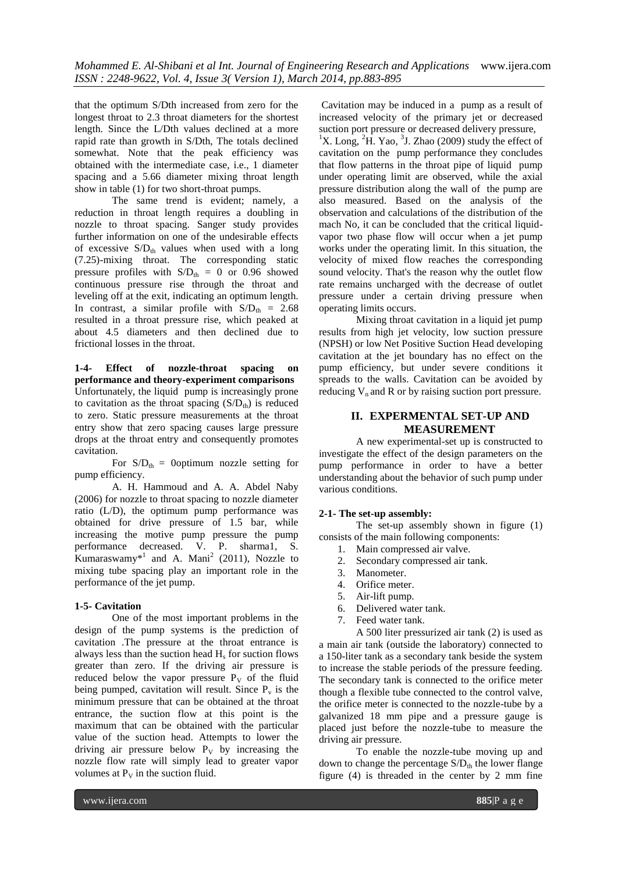that the optimum S/Dth increased from zero for the longest throat to 2.3 throat diameters for the shortest length. Since the L/Dth values declined at a more rapid rate than growth in S/Dth, The totals declined somewhat. Note that the peak efficiency was obtained with the intermediate case, i.e., 1 diameter spacing and a 5.66 diameter mixing throat length show in table (1) for two short-throat pumps.

The same trend is evident; namely, a reduction in throat length requires a doubling in nozzle to throat spacing. Sanger study provides further information on one of the undesirable effects of excessive  $S/D_{th}$  values when used with a long (7.25)-mixing throat. The corresponding static pressure profiles with  $S/D<sub>th</sub> = 0$  or 0.96 showed continuous pressure rise through the throat and leveling off at the exit, indicating an optimum length. In contrast, a similar profile with  $S/D<sub>th</sub> = 2.68$ resulted in a throat pressure rise, which peaked at about 4.5 diameters and then declined due to frictional losses in the throat.

**1-4- Effect of nozzle-throat spacing on performance and theory-experiment comparisons**  Unfortunately, the liquid pump is increasingly prone to cavitation as the throat spacing  $(S/D<sub>th</sub>)$  is reduced to zero. Static pressure measurements at the throat entry show that zero spacing causes large pressure drops at the throat entry and consequently promotes cavitation.

For  $S/D_{th} =$  0optimum nozzle setting for pump efficiency.

A. H. Hammoud and A. A. Abdel Naby (2006) for nozzle to throat spacing to nozzle diameter ratio (L/D), the optimum pump performance was obtained for drive pressure of 1.5 bar, while increasing the motive pump pressure the pump performance decreased. V. P. sharma1, S. Kumaraswamy<sup>\*1</sup> and A. Mani<sup>2</sup> (2011), Nozzle to mixing tube spacing play an important role in the performance of the jet pump.

# **1-5- Cavitation**

One of the most important problems in the design of the pump systems is the prediction of cavitation .The pressure at the throat entrance is always less than the suction head  $H_s$  for suction flows greater than zero. If the driving air pressure is reduced below the vapor pressure  $P_V$  of the fluid being pumped, cavitation will result. Since  $P_{\nu}$  is the minimum pressure that can be obtained at the throat entrance, the suction flow at this point is the maximum that can be obtained with the particular value of the suction head. Attempts to lower the driving air pressure below  $P_V$  by increasing the nozzle flow rate will simply lead to greater vapor volumes at  $P_V$  in the suction fluid.

Cavitation may be induced in a pump as a result of increased velocity of the primary jet or decreased suction port pressure or decreased delivery pressure,

<sup>1</sup>X. Long, <sup>2</sup>H. Yao, <sup>3</sup>J. Zhao (2009) study the effect of cavitation on the pump performance they concludes that flow patterns in the throat pipe of liquid pump under operating limit are observed, while the axial pressure distribution along the wall of the pump are also measured. Based on the analysis of the observation and calculations of the distribution of the mach No, it can be concluded that the critical liquidvapor two phase flow will occur when a jet pump works under the operating limit. In this situation, the velocity of mixed flow reaches the corresponding sound velocity. That's the reason why the outlet flow rate remains uncharged with the decrease of outlet pressure under a certain driving pressure when operating limits occurs.

Mixing throat cavitation in a liquid jet pump results from high jet velocity, low suction pressure (NPSH) or low Net Positive Suction Head developing cavitation at the jet boundary has no effect on the pump efficiency, but under severe conditions it spreads to the walls. Cavitation can be avoided by reducing  $V_n$  and R or by raising suction port pressure.

# **II. EXPERMENTAL SET-UP AND MEASUREMENT**

A new experimental-set up is constructed to investigate the effect of the design parameters on the pump performance in order to have a better understanding about the behavior of such pump under various conditions.

# **2-1- The set-up assembly:**

The set-up assembly shown in figure (1) consists of the main following components:

- 1. Main compressed air valve.
- 2. Secondary compressed air tank.
- 3. Manometer.
- 4. Orifice meter.
- 5. Air-lift pump.
- 6. Delivered water tank.
- 7. Feed water tank.

A 500 liter pressurized air tank (2) is used as a main air tank (outside the laboratory) connected to a 150-liter tank as a secondary tank beside the system to increase the stable periods of the pressure feeding. The secondary tank is connected to the orifice meter though a flexible tube connected to the control valve, the orifice meter is connected to the nozzle-tube by a galvanized 18 mm pipe and a pressure gauge is placed just before the nozzle-tube to measure the driving air pressure.

To enable the nozzle-tube moving up and down to change the percentage  $S/D<sub>th</sub>$  the lower flange figure (4) is threaded in the center by 2 mm fine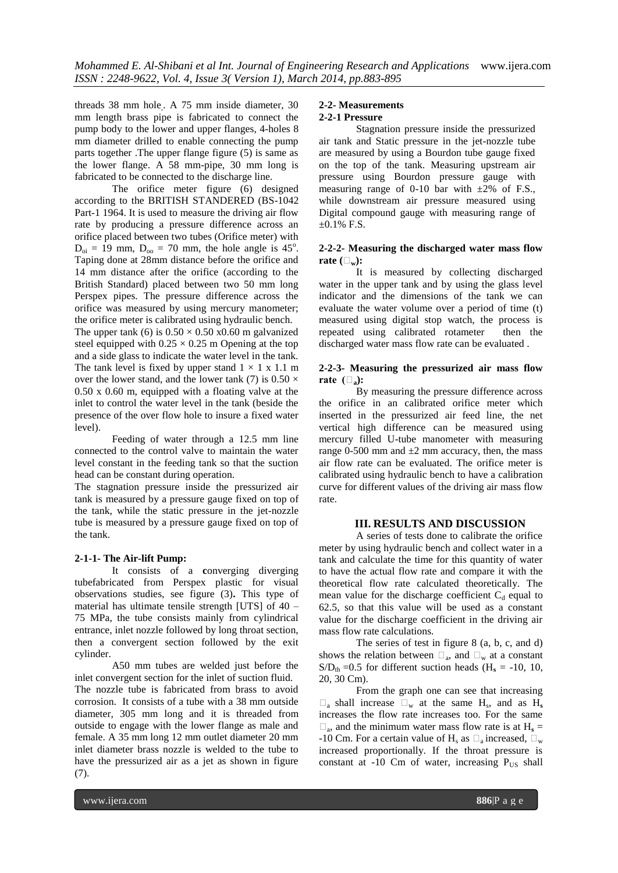threads 38 mm hole, . A 75 mm inside diameter, 30 mm length brass pipe is fabricated to connect the pump body to the lower and upper flanges, 4-holes 8 mm diameter drilled to enable connecting the pump parts together .The upper flange figure (5) is same as the lower flange. A 58 mm-pipe, 30 mm long is fabricated to be connected to the discharge line.

The orifice meter figure (6) designed according to the BRITISH STANDERED (BS-1042 Part-1 1964. It is used to measure the driving air flow rate by producing a pressure difference across an orifice placed between two tubes (Orifice meter) with  $D_{\text{o}i} = 19$  mm,  $D_{\text{o}i} = 70$  mm, the hole angle is 45<sup>o</sup>. Taping done at 28mm distance before the orifice and 14 mm distance after the orifice (according to the British Standard) placed between two 50 mm long Perspex pipes. The pressure difference across the orifice was measured by using mercury manometer; the orifice meter is calibrated using hydraulic bench.

The upper tank (6) is  $0.50 \times 0.50 \times 0.60$  m galvanized steel equipped with  $0.25 \times 0.25$  m Opening at the top and a side glass to indicate the water level in the tank. The tank level is fixed by upper stand  $1 \times 1$  x 1.1 m over the lower stand, and the lower tank (7) is  $0.50 \times$ 0.50 x 0.60 m, equipped with a floating valve at the inlet to control the water level in the tank (beside the presence of the over flow hole to insure a fixed water level).

Feeding of water through a 12.5 mm line connected to the control valve to maintain the water level constant in the feeding tank so that the suction head can be constant during operation.

The stagnation pressure inside the pressurized air tank is measured by a pressure gauge fixed on top of the tank, while the static pressure in the jet-nozzle tube is measured by a pressure gauge fixed on top of the tank.

#### **2-1-1- The Air-lift Pump:**

It consists of a **c**onverging diverging tubefabricated from Perspex plastic for visual observations studies, see figure (3)**.** This type of material has ultimate tensile strength [UTS] of 40 – 75 MPa, the tube consists mainly from cylindrical entrance, inlet nozzle followed by long throat section, then a convergent section followed by the exit cylinder.

A50 mm tubes are welded just before the inlet convergent section for the inlet of suction fluid. The nozzle tube is fabricated from brass to avoid corrosion. It consists of a tube with a 38 mm outside diameter, 305 mm long and it is threaded from outside to engage with the lower flange as male and female. A 35 mm long 12 mm outlet diameter 20 mm inlet diameter brass nozzle is welded to the tube to have the pressurized air as a jet as shown in figure (7).

### **2-2- Measurements 2-2-1 Pressure**

Stagnation pressure inside the pressurized air tank and Static pressure in the jet-nozzle tube are measured by using a Bourdon tube gauge fixed on the top of the tank. Measuring upstream air pressure using Bourdon pressure gauge with measuring range of 0-10 bar with  $\pm 2\%$  of F.S., while downstream air pressure measured using Digital compound gauge with measuring range of  $\pm 0.1\%$  F.S.

#### **2-2-2- Measuring the discharged water mass flow**  rate  $(\Box_{w})$ :

It is measured by collecting discharged water in the upper tank and by using the glass level indicator and the dimensions of the tank we can evaluate the water volume over a period of time (t) measured using digital stop watch, the process is repeated using calibrated rotameter then the discharged water mass flow rate can be evaluated .

### **2-2-3- Measuring the pressurized air mass flow**  rate  $(\Box_{a})$ :

By measuring the pressure difference across the orifice in an calibrated orifice meter which inserted in the pressurized air feed line, the net vertical high difference can be measured using mercury filled U-tube manometer with measuring range 0-500 mm and  $\pm 2$  mm accuracy, then, the mass air flow rate can be evaluated. The orifice meter is calibrated using hydraulic bench to have a calibration curve for different values of the driving air mass flow rate.

# **III. RESULTS AND DISCUSSION**

A series of tests done to calibrate the orifice meter by using hydraulic bench and collect water in a tank and calculate the time for this quantity of water to have the actual flow rate and compare it with the theoretical flow rate calculated theoretically. The mean value for the discharge coefficient  $C_d$  equal to 62.5, so that this value will be used as a constant value for the discharge coefficient in the driving air mass flow rate calculations.

The series of test in figure 8 (a, b, c, and d) shows the relation between  $\square_a$ , and  $\square_w$  at a constant  $S/D<sub>th</sub> = 0.5$  for different suction heads (H<sub>s</sub> = -10, 10, 20, 30 Cm).

From the graph one can see that increasing  $\Box$ <sub>a</sub> shall increase  $\Box$ <sub>w</sub> at the same H<sub>s</sub>, and as H<sub>s</sub> increases the flow rate increases too. For the same  $\square$ <sub>a</sub>, and the minimum water mass flow rate is at  $H_s =$ -10 Cm. For a certain value of H<sub>s</sub> as  $\square_a$  increased,  $\square_w$ increased proportionally. If the throat pressure is constant at  $-10$  Cm of water, increasing  $P_{US}$  shall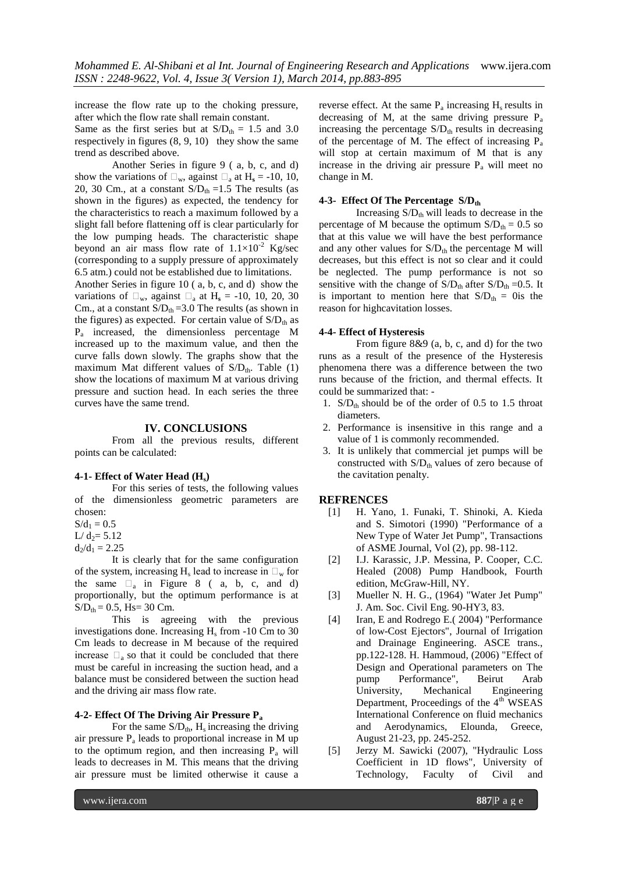increase the flow rate up to the choking pressure, after which the flow rate shall remain constant.

Same as the first series but at  $S/D_{th} = 1.5$  and 3.0 respectively in figures (8, 9, 10) they show the same trend as described above.

Another Series in figure 9 ( a, b, c, and d) show the variations of  $\Box_w$ , against  $\Box_a$  at  $H_s = -10$ , 10, 20, 30 Cm., at a constant  $S/D<sub>th</sub> = 1.5$  The results (as shown in the figures) as expected, the tendency for the characteristics to reach a maximum followed by a slight fall before flattening off is clear particularly for the low pumping heads. The characteristic shape beyond an air mass flow rate of  $1.1 \times 10^{-2}$  Kg/sec (corresponding to a supply pressure of approximately 6.5 atm.) could not be established due to limitations.

Another Series in figure 10 ( a, b, c, and d) show the variations of  $\Box_w$ , against  $\Box_a$  at H<sub>s</sub> = -10, 10, 20, 30 Cm., at a constant  $S/D_{th} = 3.0$  The results (as shown in the figures) as expected. For certain value of  $S/D<sub>th</sub>$  as Pa increased, the dimensionless percentage M increased up to the maximum value, and then the curve falls down slowly. The graphs show that the maximum Mat different values of  $S/D<sub>th</sub>$ . Table (1) show the locations of maximum M at various driving pressure and suction head. In each series the three curves have the same trend.

#### **IV. CONCLUSIONS**

From all the previous results, different points can be calculated:

#### **4-1- Effect of Water Head (Hs)**

For this series of tests, the following values of the dimensionless geometric parameters are chosen:

 $S/d_1 = 0.5$ 

 $L/d_2 = 5.12$  $d_2/d_1 = 2.25$ 

It is clearly that for the same configuration of the system, increasing  $H_s$  lead to increase in  $\square_w$  for the same  $\square_a$  in Figure 8 (a, b, c, and d) proportionally, but the optimum performance is at  $S/D_{th} = 0.5$ , Hs= 30 Cm.

This is agreeing with the previous investigations done. Increasing  $H_s$  from  $-10$  Cm to 30 Cm leads to decrease in M because of the required increase  $\Box$ <sub>a</sub> so that it could be concluded that there must be careful in increasing the suction head, and a balance must be considered between the suction head and the driving air mass flow rate.

#### **4-2- Effect Of The Driving Air Pressure P<sup>a</sup>**

For the same  $S/D_{th}$ , H<sub>s</sub> increasing the driving air pressure P<sup>a</sup> leads to proportional increase in M up to the optimum region, and then increasing  $P_a$  will leads to decreases in M. This means that the driving air pressure must be limited otherwise it cause a

reverse effect. At the same  $P_a$  increasing  $H_s$  results in decreasing of M, at the same driving pressure P<sup>a</sup> increasing the percentage  $S/D<sub>th</sub>$  results in decreasing of the percentage of M. The effect of increasing  $P_a$ will stop at certain maximum of M that is any increase in the driving air pressure  $P_a$  will meet no change in M.

#### **4-3- Effect Of The Percentage S/Dth**

Increasing  $S/D<sub>th</sub>$  will leads to decrease in the percentage of M because the optimum  $S/D_{th} = 0.5$  so that at this value we will have the best performance and any other values for  $S/D<sub>th</sub>$  the percentage M will decreases, but this effect is not so clear and it could be neglected. The pump performance is not so sensitive with the change of  $S/D_{th}$  after  $S/D_{th} = 0.5$ . It is important to mention here that  $S/D_{th} = 0$  is the reason for highcavitation losses.

#### **4-4- Effect of Hysteresis**

From figure 8&9 (a, b, c, and d) for the two runs as a result of the presence of the Hysteresis phenomena there was a difference between the two runs because of the friction, and thermal effects. It could be summarized that: -

- 1.  $S/D<sub>th</sub>$  should be of the order of 0.5 to 1.5 throat diameters.
- 2. Performance is insensitive in this range and a value of 1 is commonly recommended.
- 3. It is unlikely that commercial jet pumps will be constructed with  $S/D<sub>th</sub>$  values of zero because of the cavitation penalty.

#### **REFRENCES**

- [1] H. Yano, 1. Funaki, T. Shinoki, A. Kieda and S. Simotori (1990) "Performance of a New Type of Water Jet Pump", Transactions of ASME Journal, Vol (2), pp. 98-112.
- [2] I.J. Karassic, J.P. Messina, P. Cooper, C.C. Healed (2008) Pump Handbook, Fourth edition, McGraw-Hill, NY.
- [3] Mueller N. H. G., (1964) "Water Jet Pump" J. Am. Soc. Civil Eng. 90-HY3, 83.
- [4] Iran, E and Rodrego E.( 2004) "Performance of low-Cost Ejectors", Journal of Irrigation and Drainage Engineering. ASCE trans., pp.122-128. H. Hammoud, (2006) "Effect of Design and Operational parameters on The pump Performance", Beirut Arab University, Mechanical Engineering Department, Proceedings of the 4<sup>th</sup> WSEAS International Conference on fluid mechanics and Aerodynamics, Elounda, Greece, August 21-23, pp. 245-252.
- [5] Jerzy M. Sawicki (2007), "Hydraulic Loss Coefficient in 1D flows", University of Technology, Faculty of Civil and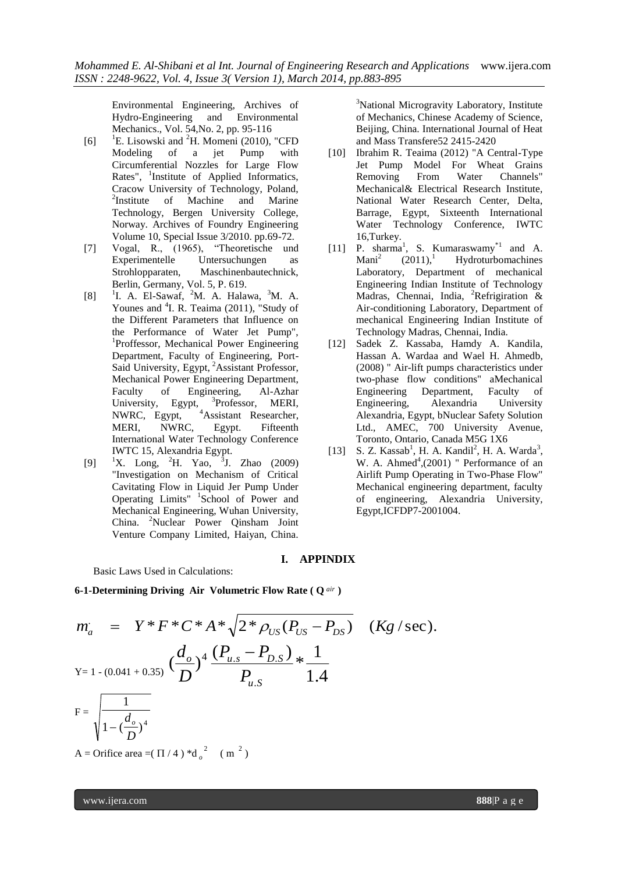Environmental Engineering, Archives of Hydro-Engineering and Environmental Mechanics., Vol. 54,No. 2, pp. 95-116

- [6]  $\,$   $\,$   $\,$  E. Lisowski and  $\,$  H. Momeni (2010), "CFD Modeling of a jet Pump with Circumferential Nozzles for Large Flow Rates", 1 Institute of Applied Informatics, Cracow University of Technology, Poland,  $2$ Institute of Machine and Marine Technology, Bergen University College, Norway. Archives of Foundry Engineering Volume 10, Special Issue 3/2010. pp.69-72.
- [7] Vogal, R., (1965), "Theoretische und Experimentelle Untersuchungen as Strohlopparaten, Maschinenbautechnick, Berlin, Germany, Vol. 5, P. 619.
- [8] <sup>1</sup>I. A. El-Sawaf, <sup>2</sup>M. A. Halawa, <sup>3</sup>M. A. Younes and <sup>4</sup>I. R. Teaima (2011), "Study of the Different Parameters that Influence on the Performance of Water Jet Pump", <sup>1</sup>Proffessor, Mechanical Power Engineering Department, Faculty of Engineering, Port-Said University, Egypt, <sup>2</sup>Assistant Professor, Mechanical Power Engineering Department, Faculty of Engineering, Al-Azhar University, Egypt, <sup>3</sup>Professor, MERI, NWRC, Egypt, <sup>4</sup>Assistant Researcher, MERI, NWRC, Egypt. Fifteenth International Water Technology Conference IWTC 15, Alexandria Egypt.
- $[9]$  <sup>1</sup>X. Long, <sup>2</sup>H. Yao, <sup>3</sup>J. Zhao (2009) "Investigation on Mechanism of Critical Cavitating Flow in Liquid Jer Pump Under Operating Limits" <sup>1</sup> School of Power and Mechanical Engineering, Wuhan University, China. <sup>2</sup>Nuclear Power Qinsham Joint Venture Company Limited, Haiyan, China.

<sup>3</sup>National Microgravity Laboratory, Institute of Mechanics, Chinese Academy of Science, Beijing, China. International Journal of Heat and Mass Transfere52 2415-2420

- [10] Ibrahim R. Teaima (2012) "A Central-Type Jet Pump Model For Wheat Grains Removing From Water Channels" Mechanical& Electrical Research Institute, National Water Research Center, Delta, Barrage, Egypt, Sixteenth International Water Technology Conference, IWTC 16,Turkey.
- [11] P. sharma<sup>1</sup>, S. Kumaraswamy<sup>\*1</sup> and A. Mani<sup>2</sup>  $(2011)$ ,<sup>1</sup> Hydroturbomachines Laboratory, Department of mechanical Engineering Indian Institute of Technology Madras, Chennai, India, <sup>2</sup>Refrigiration & Air-conditioning Laboratory, Department of mechanical Engineering Indian Institute of Technology Madras, Chennai, India.
- [12] Sadek Z. Kassa[ba,](http://www.sciencedirect.com/science?_ob=ArticleURL&_udi=B6V3G-4TX6W4X-2&_user=7427160&_rdoc=1&_fmt=&_orig=search&_sort=d&view=c&_acct=C000072000&_version=1&_urlVersion=0&_userid=7427160&md5=5b019322c62e625361bb90ba03cf16a2#aff1#aff1) Hamdy A. Kandi[la,](http://www.sciencedirect.com/science?_ob=ArticleURL&_udi=B6V3G-4TX6W4X-2&_user=7427160&_rdoc=1&_fmt=&_orig=search&_sort=d&view=c&_acct=C000072000&_version=1&_urlVersion=0&_userid=7427160&md5=5b019322c62e625361bb90ba03cf16a2#aff1#aff1) Hassan A. Ward[aa](http://www.sciencedirect.com/science?_ob=ArticleURL&_udi=B6V3G-4TX6W4X-2&_user=7427160&_rdoc=1&_fmt=&_orig=search&_sort=d&view=c&_acct=C000072000&_version=1&_urlVersion=0&_userid=7427160&md5=5b019322c62e625361bb90ba03cf16a2#aff1#aff1) and Wael H. Ahme[db,](http://www.sciencedirect.com/science?_ob=ArticleURL&_udi=B6V3G-4TX6W4X-2&_user=7427160&_rdoc=1&_fmt=&_orig=search&_sort=d&view=c&_acct=C000072000&_version=1&_urlVersion=0&_userid=7427160&md5=5b019322c62e625361bb90ba03cf16a2#aff2#aff2) (2008) " Air-lift pumps characteristics under two-phase flow conditions" aMechanical Engineering Department, Faculty of Engineering, Alexandria University Alexandria, Egypt, bNuclear Safety Solution Ltd., AMEC, 700 University Avenue, Toronto, Ontario, Canada M5G 1X6
- [13] S. Z. Kassab<sup>1</sup>, H. A. Kandil<sup>2</sup>, H. A. Warda<sup>3</sup>, W. A. Ahmed $4(2001)$  " Performance of an Airlift Pump Operating in Two-Phase Flow" Mechanical engineering department, faculty of engineering, Alexandria University, Egypt,ICFDP7-2001004.

# **I. APPINDIX**

Basic Laws Used in Calculations:

**6-1-Determining Driving Air Volumetric Flow Rate ( Q** *air* **)**

$$
m_a = Y^* F^* C^* A^* \sqrt{2^* \rho_{US} (P_{US} - P_{DS})} \quad (Kg \text{/sec}).
$$
  
\n
$$
Y = 1 - (0.041 + 0.35) \left(\frac{d_o}{D}\right)^4 \frac{(P_{u.s} - P_{D.S})}{P_{u.S}} * \frac{1}{1.4}
$$
  
\n
$$
F = \sqrt{\frac{1}{1 - \left(\frac{d_o}{D}\right)^4}}
$$

A = Orifice area =  $(\Pi / 4)^*d_\rho$  $2 \left( \text{m} \right)^2$ 

www.ijera.com **888**|P a g e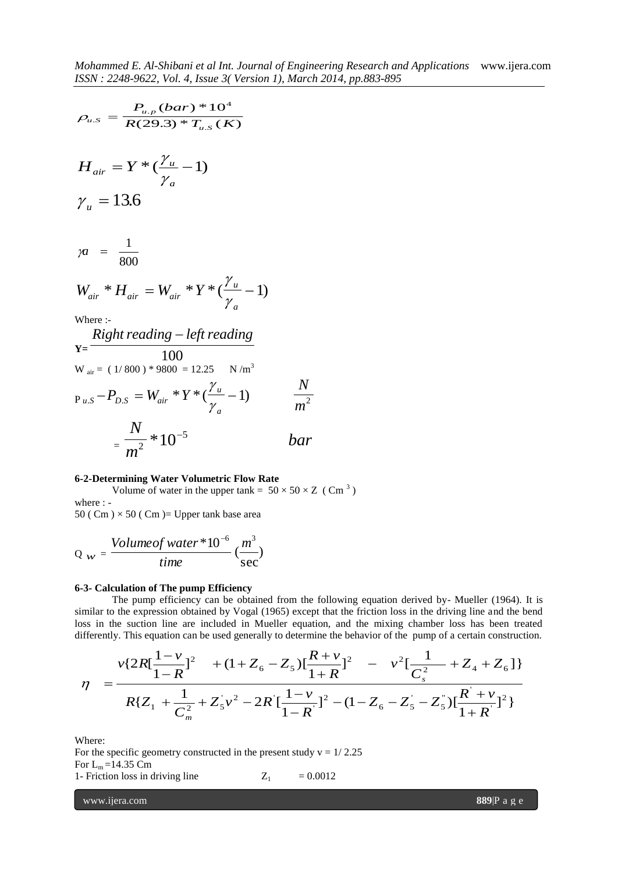$$
\rho_{u.s} = \frac{P_{u.p} (bar)^* 10^4}{R(29.3)^* T_{u.s}(K)}
$$
  
\n
$$
H_{air} = Y^* (\frac{\gamma_u}{\gamma_a} - 1)
$$
  
\n
$$
\gamma_u = 13.6
$$
  
\n
$$
\gamma_u = \frac{1}{800}
$$
  
\n
$$
W_{air}^* H_{air} = W_{air}^* Y^* (\frac{\gamma_u}{\gamma_a} - 1)
$$
  
\nWhere :-  
\n
$$
\frac{Right reading - left reading}{100}
$$
  
\n
$$
W_{air} = (1/800)^* 9800 = 12.25 \text{ N/m}^3
$$
  
\n
$$
P_{u.s} - P_{D.S} = W_{air}^* Y^* (\frac{\gamma_u}{\gamma_a} - 1)
$$
  
\n
$$
\frac{N}{m^2}
$$

$$
=\frac{N}{m^2}*10^{-5}
$$
 bar

#### **6-2-Determining Water Volumetric Flow Rate**

Volume of water in the upper tank =  $50 \times 50 \times Z$  (Cm<sup>3</sup>) where : -

50 ( Cm  $) \times$  50 ( Cm  $)$  = Upper tank base area

$$
Q_{w} = \frac{Volumeofwater * 10^{-6}}{time} (\frac{m^{3}}{sec})
$$

#### **6-3- Calculation of The pump Efficiency**

The pump efficiency can be obtained from the following equation derived by- Mueller (1964). It is similar to the expression obtained by Vogal (1965) except that the friction loss in the driving line and the bend loss in the suction line are included in Mueller equation, and the mixing chamber loss has been treated differently. This equation can be used generally to determine the behavior of the pump of a certain construction.

*N*

limitar to the expression obtained by Vogal (1965) except that the friction loss in the driving line and the loss in the section line are included in Mueller equation, and the mixing chamber loss has been the differently. This equation can be used generally to determine the behavior of the pump of a certain construct 
$$
v\{2R[\frac{1-v}{1-R}]^2 + (1+Z_6-Z_5)[\frac{R+v}{1+R}]^2 - v^2[\frac{1}{C_s^2} + Z_4 + Z_6]\}
$$

\n $\eta = \frac{V\{2R[\frac{1-v}{1-R}]^2 + (1+Z_6-Z_5)[\frac{R+v}{1+R}]^2 - (1-Z_6-Z_5-Z_5)[\frac{R+v}{1+R}]^2\}}{R\{Z_1 + \frac{1}{C_m^2} + Z_5[v^2 - 2R[\frac{1-v}{1-R}]^2 - (1-Z_6-Z_5-Z_5)[\frac{R+v}{1+R}]^2\}}$ 

Where:

For the specific geometry constructed in the present study  $v = 1/2.25$ For  $L_m$ =14.35 Cm 1- Friction loss in driving line  $Z_1 = 0.0012$ 

www.ijera.com **889**|P a g e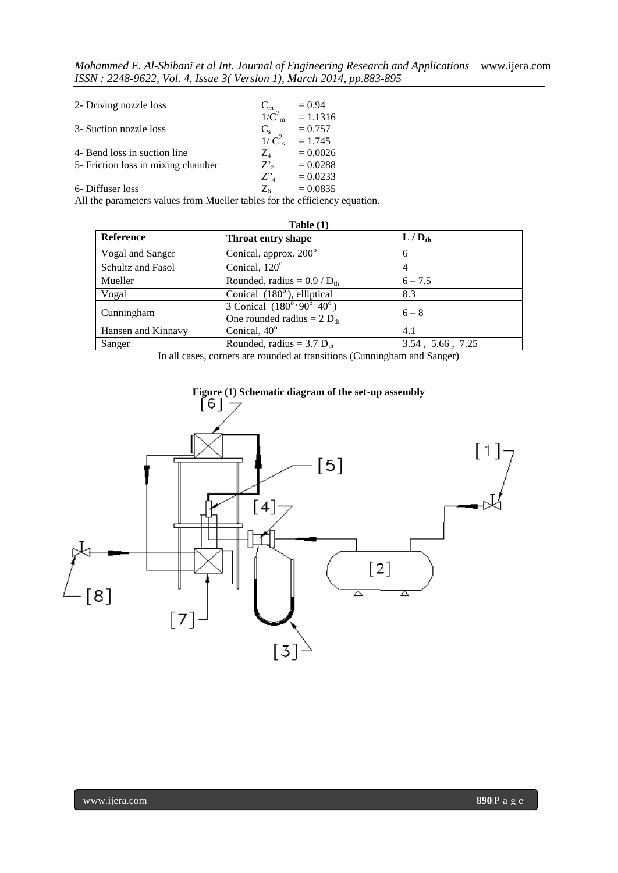*Mohammed E. Al-Shibani et al Int. Journal of Engineering Research and Applications* www.ijera.com *ISSN : 2248-9622, Vol. 4, Issue 3( Version 1), March 2014, pp.883-895*

| 2- Driving nozzle loss             | $C_m$              | $= 0.94$                 |
|------------------------------------|--------------------|--------------------------|
|                                    |                    | $1/C_{\rm m}^2$ = 1.1316 |
| 3- Suction nozzle loss             | $C_{s}$            | $= 0.757$                |
|                                    |                    | $1/C_s^2 = 1.745$        |
| 4- Bend loss in suction line       | $Z_4$              | $= 0.0026$               |
| 5- Friction loss in mixing chamber | Z <sub>5</sub>     | $= 0.0288$               |
|                                    | $Z^{\prime\prime}$ | $= 0.0233$               |
| 6- Diffuser loss                   | $Z_6$              | $= 0.0835$               |

All the parameters values from Mueller tables for the efficiency equation.

| Table (1)          |                                                                                                |                          |  |
|--------------------|------------------------------------------------------------------------------------------------|--------------------------|--|
| <b>Reference</b>   | Throat entry shape                                                                             | $L/D_{th}$               |  |
| Vogal and Sanger   | Conical, approx. 200 <sup>°</sup>                                                              | 6                        |  |
| Schultz and Fasol  | Conical, 120°                                                                                  | 4                        |  |
| Mueller            | Rounded, radius = $0.9 / D_{th}$                                                               | $6 - 7.5$                |  |
| Vogal              | Conical $(180^{\circ})$ , elliptical                                                           | 8.3                      |  |
| Cunningham         | 3 Conical $(180^{\circ} \cdot 90^{\circ} \cdot 40^{\circ})$<br>One rounded radius = $2 D_{th}$ | $6 - 8$                  |  |
| Hansen and Kinnavy | Conical, 40°                                                                                   | 4.1                      |  |
| Sanger             | Rounded, radius = $3.7 D_{th}$                                                                 | $3.54$ , $5.66$ , $7.25$ |  |

In all cases, corners are rounded at transitions (Cunningham and Sanger)

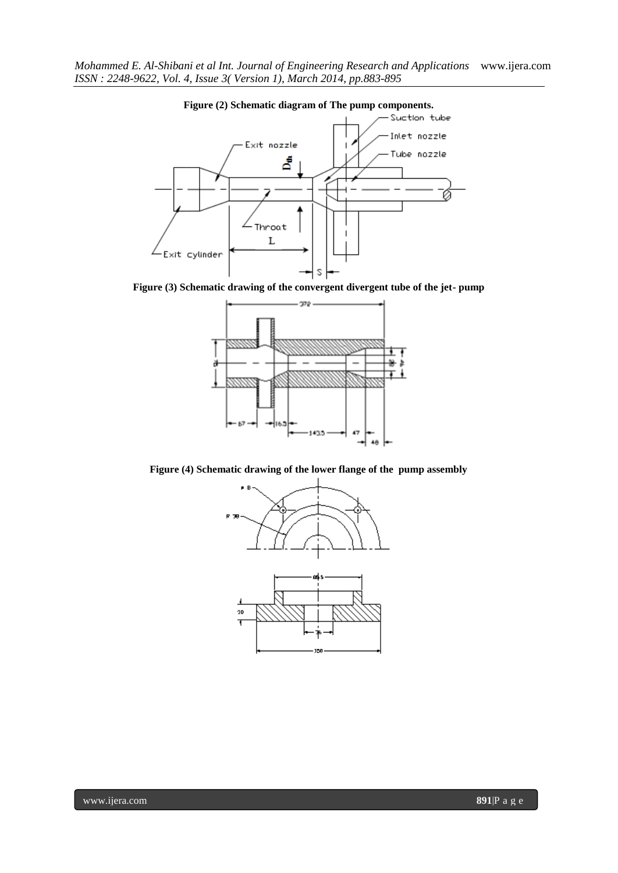

**Figure (2) Schematic diagram of The pump components.**

**Figure (3) Schematic drawing of the convergent divergent tube of the jet- pump**



**Figure (4) Schematic drawing of the lower flange of the pump assembly**

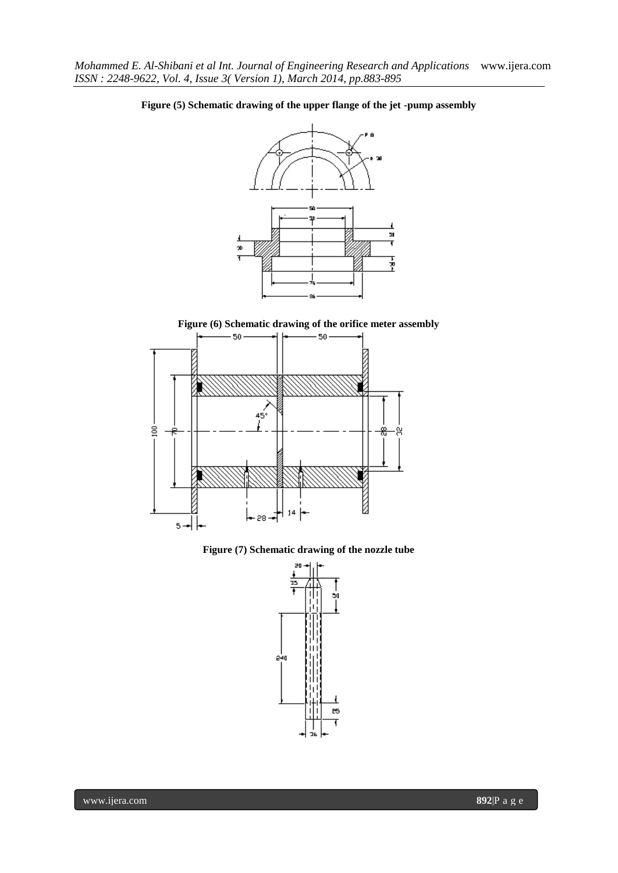

# **Figure (5) Schematic drawing of the upper flange of the jet -pump assembly**

**Figure (6) Schematic drawing of the orifice meter assembly**



**Figure (7) Schematic drawing of the nozzle tube**

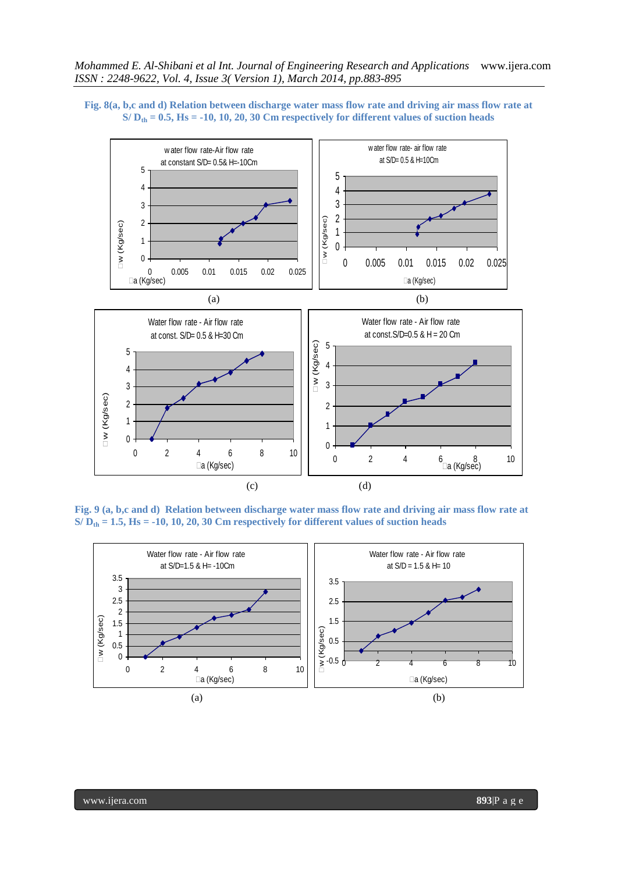



**Fig. 9 (a, b,c and d) Relation between discharge water mass flow rate and driving air mass flow rate at S/ Dth = 1.5, Hs = -10, 10, 20, 30 Cm respectively for different values of suction heads**



www.ijera.com **893**|P a g e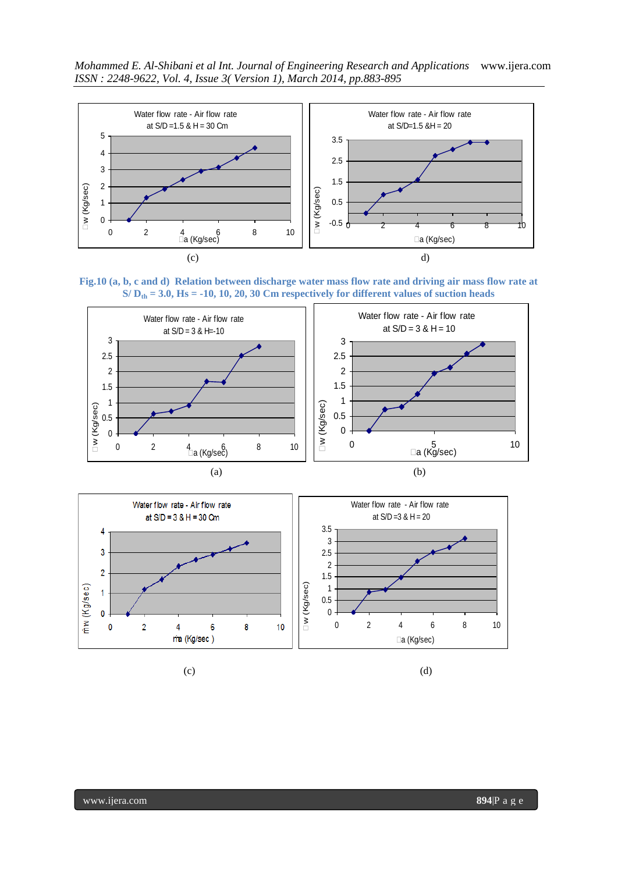*Mohammed E. Al-Shibani et al Int. Journal of Engineering Research and Applications* www.ijera.com *ISSN : 2248-9622, Vol. 4, Issue 3( Version 1), March 2014, pp.883-895*



**Fig.10 (a, b, c and d) Relation between discharge water mass flow rate and driving air mass flow rate at S/ Dth = 3.0, Hs = -10, 10, 20, 30 Cm respectively for different values of suction heads**





 $(c)$  (c)